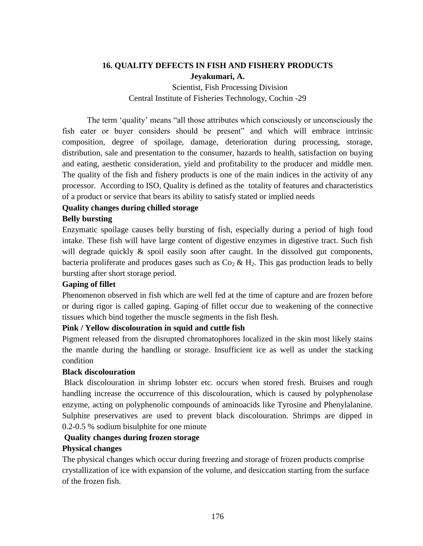# **16. QUALITY DEFECTS IN FISH AND FISHERY PRODUCTS Jeyakumari, A.**

Scientist, Fish Processing Division Central Institute of Fisheries Technology, Cochin -29

The term 'quality' means "all those attributes which consciously or unconsciously the fish eater or buyer considers should be present" and which will embrace intrinsic composition, degree of spoilage, damage, deterioration during processing, storage, distribution, sale and presentation to the consumer, hazards to health, satisfaction on buying and eating, aesthetic consideration, yield and profitability to the producer and middle men. The quality of the fish and fishery products is one of the main indices in the activity of any processor. According to ISO, Quality is defined as the totality of features and characteristics of a product or service that bears its ability to satisfy stated or implied needs

## **Quality changes during chilled storage**

## **Belly bursting**

Enzymatic spoilage causes belly bursting of fish, especially during a period of high food intake. These fish will have large content of digestive enzymes in digestive tract. Such fish will degrade quickly  $\&$  spoil easily soon after caught. In the dissolved gut components, bacteria proliferate and produces gases such as  $Co_2 \& H_2$ . This gas production leads to belly bursting after short storage period.

## **Gaping of fillet**

Phenomenon observed in fish which are well fed at the time of capture and are frozen before or during rigor is called gaping. Gaping of fillet occur due to weakening of the connective tissues which bind together the muscle segments in the fish flesh.

## **Pink / Yellow discolouration in squid and cuttle fish**

Pigment released from the disrupted chromatophores localized in the skin most likely stains the mantle during the handling or storage. Insufficient ice as well as under the stacking condition

### **Black discolouration**

Black discolouration in shrimp lobster etc. occurs when stored fresh. Bruises and rough handling increase the occurrence of this discolouration, which is caused by polyphenolase enzyme, acting on polyphenolic compounds of aminoacids like Tyrosine and Phenylalanine. Sulphite preservatives are used to prevent black discolouration. Shrimps are dipped in 0.2-0.5 % sodium bisulphite for one minute

## **Quality changes during frozen storage**

## **Physical changes**

The physical changes which occur during freezing and storage of frozen products comprise crystallization of ice with expansion of the volume, and desiccation starting from the surface of the frozen fish.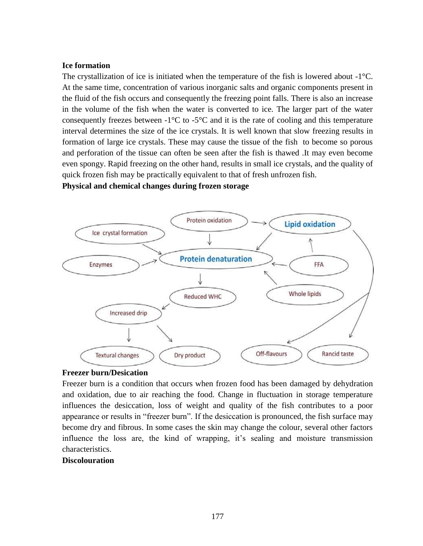#### **Ice formation**

The crystallization of ice is initiated when the temperature of the fish is lowered about  $-1^{\circ}C$ . At the same time, concentration of various inorganic salts and organic components present in the fluid of the fish occurs and consequently the freezing point falls. There is also an increase in the volume of the fish when the water is converted to ice. The larger part of the water consequently freezes between  $-1^{\circ}C$  to  $-5^{\circ}C$  and it is the rate of cooling and this temperature interval determines the size of the ice crystals. It is well known that slow freezing results in formation of large ice crystals. These may cause the tissue of the fish to become so porous and perforation of the tissue can often be seen after the fish is thawed .It may even become even spongy. Rapid freezing on the other hand, results in small ice crystals, and the quality of quick frozen fish may be practically equivalent to that of fresh unfrozen fish.

**Physical and chemical changes during frozen storage**



#### **Freezer burn/Desication**

Freezer burn is a condition that occurs when frozen food has been damaged by dehydration and oxidation, due to air reaching the food. Change in fluctuation in storage temperature influences the desiccation, loss of weight and quality of the fish contributes to a poor appearance or results in "freezer burn". If the desiccation is pronounced, the fish surface may become dry and fibrous. In some cases the skin may change the colour, several other factors influence the loss are, the kind of wrapping, it's sealing and moisture transmission characteristics.

### **Discolouration**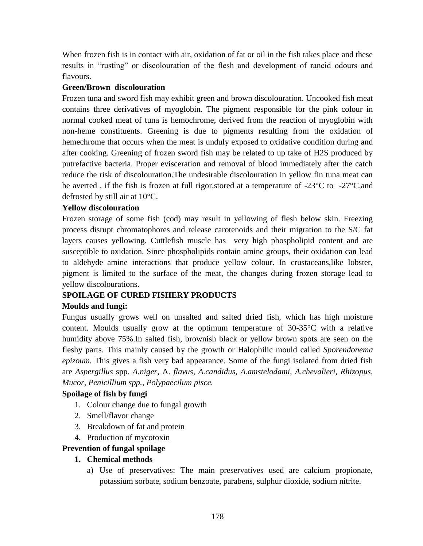When frozen fish is in contact with air, oxidation of fat or oil in the fish takes place and these results in "rusting" or discolouration of the flesh and development of rancid odours and flavours.

### **Green/Brown discolouration**

Frozen tuna and sword fish may exhibit green and brown discolouration. Uncooked fish meat contains three derivatives of myoglobin. The pigment responsible for the pink colour in normal cooked meat of tuna is hemochrome, derived from the reaction of myoglobin with non-heme constituents. Greening is due to pigments resulting from the oxidation of hemechrome that occurs when the meat is unduly exposed to oxidative condition during and after cooking. Greening of frozen sword fish may be related to up take of H2S produced by putrefactive bacteria. Proper evisceration and removal of blood immediately after the catch reduce the risk of discolouration.The undesirable discolouration in yellow fin tuna meat can be averted, if the fish is frozen at full rigor, stored at a temperature of -23 $\degree$ C to -27 $\degree$ C, and defrosted by still air at 10°C.

## **Yellow discolouration**

Frozen storage of some fish (cod) may result in yellowing of flesh below skin. Freezing process disrupt chromatophores and release carotenoids and their migration to the S/C fat layers causes yellowing. Cuttlefish muscle has very high phospholipid content and are susceptible to oxidation. Since phospholipids contain amine groups, their oxidation can lead to aldehyde–amine interactions that produce yellow colour. In crustaceans,like lobster, pigment is limited to the surface of the meat, the changes during frozen storage lead to yellow discolourations.

## **SPOILAGE OF CURED FISHERY PRODUCTS**

## **Moulds and fungi:**

Fungus usually grows well on unsalted and salted dried fish, which has high moisture content. Moulds usually grow at the optimum temperature of 30-35°C with a relative humidity above 75%.In salted fish, brownish black or yellow brown spots are seen on the fleshy parts. This mainly caused by the growth or Halophilic mould called *Sporendonema epizoum.* This gives a fish very bad appearance. Some of the fungi isolated from dried fish are *Aspergillus* spp. *A.niger*, A. *flavus, A.candidus, A.amstelodami, A.chevalieri, Rhizopus, Mucor, Penicillium spp., Polypaecilum pisce.*

## **Spoilage of fish by fungi**

- 1. Colour change due to fungal growth
- 2. Smell/flavor change
- 3. Breakdown of fat and protein
- 4. Production of mycotoxin

### **Prevention of fungal spoilage**

### **1. Chemical methods**

a) Use of preservatives: The main preservatives used are calcium propionate, potassium sorbate, sodium benzoate, parabens, sulphur dioxide, sodium nitrite.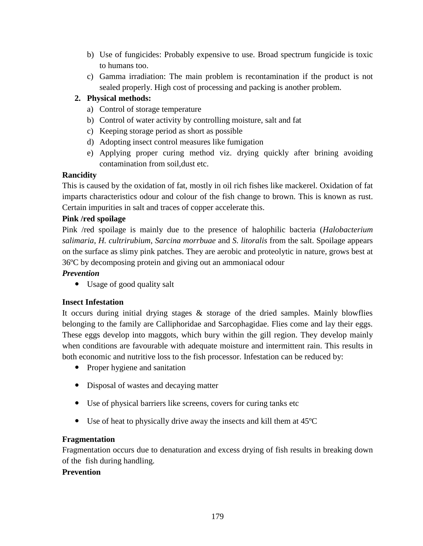- b) Use of fungicides: Probably expensive to use. Broad spectrum fungicide is toxic to humans too.
- c) Gamma irradiation: The main problem is recontamination if the product is not sealed properly. High cost of processing and packing is another problem.

# **2. Physical methods:**

- a) Control of storage temperature
- b) Control of water activity by controlling moisture, salt and fat
- c) Keeping storage period as short as possible
- d) Adopting insect control measures like fumigation
- e) Applying proper curing method viz. drying quickly after brining avoiding contamination from soil,dust etc.

# **Rancidity**

This is caused by the oxidation of fat, mostly in oil rich fishes like mackerel. Oxidation of fat imparts characteristics odour and colour of the fish change to brown. This is known as rust. Certain impurities in salt and traces of copper accelerate this.

# **Pink /red spoilage**

Pink /red spoilage is mainly due to the presence of halophilic bacteria (*Halobacterium salimaria*, *H. cultrirubium*, *Sarcina morrbuae* and *S. litoralis* from the salt. Spoilage appears on the surface as slimy pink patches. They are aerobic and proteolytic in nature, grows best at 36ºC by decomposing protein and giving out an ammoniacal odour

# *Prevention*

Usage of good quality salt

## **Insect Infestation**

It occurs during initial drying stages & storage of the dried samples. Mainly blowflies belonging to the family are Calliphoridae and Sarcophagidae. Flies come and lay their eggs. These eggs develop into maggots, which bury within the gill region. They develop mainly when conditions are favourable with adequate moisture and intermittent rain. This results in both economic and nutritive loss to the fish processor. Infestation can be reduced by:

- Proper hygiene and sanitation
- Disposal of wastes and decaying matter
- Use of physical barriers like screens, covers for curing tanks etc
- Use of heat to physically drive away the insects and kill them at 45ºC

## **Fragmentation**

Fragmentation occurs due to denaturation and excess drying of fish results in breaking down of the fish during handling.

## **Prevention**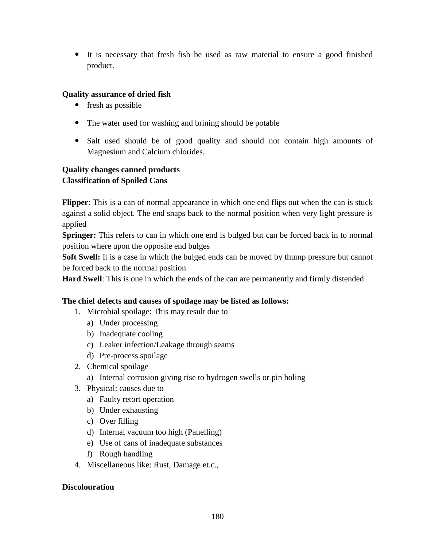It is necessary that fresh fish be used as raw material to ensure a good finished product.

# **Quality assurance of dried fish**

- fresh as possible
- The water used for washing and brining should be potable
- Salt used should be of good quality and should not contain high amounts of Magnesium and Calcium chlorides.

# **Quality changes canned products Classification of Spoiled Cans**

**Flipper**: This is a can of normal appearance in which one end flips out when the can is stuck against a solid object. The end snaps back to the normal position when very light pressure is applied

**Springer:** This refers to can in which one end is bulged but can be forced back in to normal position where upon the opposite end bulges

**Soft Swell:** It is a case in which the bulged ends can be moved by thump pressure but cannot be forced back to the normal position

**Hard Swell**: This is one in which the ends of the can are permanently and firmly distended

## **The chief defects and causes of spoilage may be listed as follows:**

- 1. Microbial spoilage: This may result due to
	- a) Under processing
	- b) Inadequate cooling
	- c) Leaker infection/Leakage through seams
	- d) Pre-process spoilage
- 2. Chemical spoilage
	- a) Internal corrosion giving rise to hydrogen swells or pin holing
- 3. Physical: causes due to
	- a) Faulty retort operation
	- b) Under exhausting
	- c) Over filling
	- d) Internal vacuum too high (Panelling)
	- e) Use of cans of inadequate substances
	- f) Rough handling
- 4. Miscellaneous like: Rust, Damage et.c.,

## **Discolouration**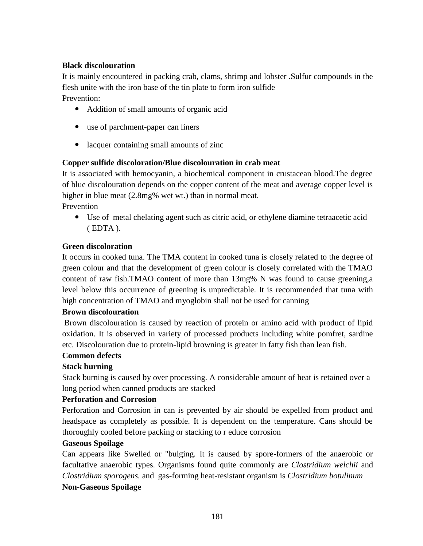# **Black discolouration**

It is mainly encountered in packing crab, clams, shrimp and lobster .Sulfur compounds in the flesh unite with the iron base of the tin plate to form iron sulfide Prevention:

- Addition of small amounts of organic acid
- use of parchment-paper can liners
- lacquer containing small amounts of zinc

## **Copper sulfide discoloration/Blue discolouration in crab meat**

It is associated with hemocyanin, a biochemical component in crustacean blood.The degree of blue discolouration depends on the copper content of the meat and average copper level is higher in blue meat  $(2.8mg\%$  wet wt.) than in normal meat.

Prevention

 Use of metal chelating agent such as citric acid, or ethylene diamine tetraacetic acid ( EDTA ).

## **Green discoloration**

It occurs in cooked tuna. The TMA content in cooked tuna is closely related to the degree of green colour and that the development of green colour is closely correlated with the TMAO content of raw fish.TMAO content of more than 13mg% N was found to cause greening,a level below this occurrence of greening is unpredictable. It is recommended that tuna with high concentration of TMAO and myoglobin shall not be used for canning

## **Brown discolouration**

Brown discolouration is caused by reaction of protein or amino acid with product of lipid oxidation. It is observed in variety of processed products including white pomfret, sardine etc. Discolouration due to protein-lipid browning is greater in fatty fish than lean fish.

### **Common defects**

## **Stack burning**

Stack burning is caused by over processing. A considerable amount of heat is retained over a long period when canned products are stacked

## **Perforation and Corrosion**

Perforation and Corrosion in can is prevented by air should be expelled from product and headspace as completely as possible. It is dependent on the temperature. Cans should be thoroughly cooled before packing or stacking to r educe corrosion

### **Gaseous Spoilage**

Can appears like Swelled or "bulging. It is caused by spore-formers of the anaerobic or facultative anaerobic types. Organisms found quite commonly are *Clostridium welchii* and *Clostridium sporogens.* and gas-forming heat-resistant organism is *Clostridium botulinum* **Non-Gaseous Spoilage**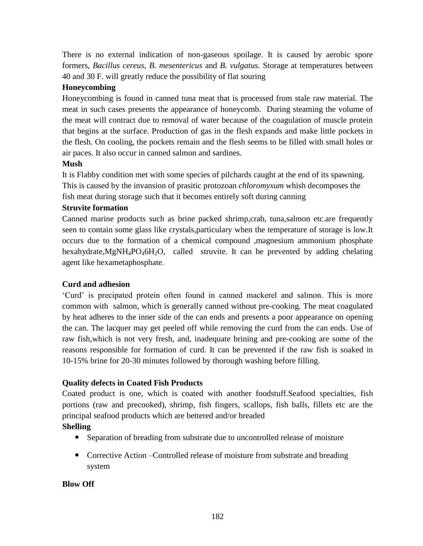There is no external indication of non-gaseous spoilage. It is caused by aerobic spore formers, *Bacillus cereus, B. mesentericus* and *B. vulgatus.* Storage at temperatures between 40 and 30 F. will greatly reduce the possibility of flat souring

# **Honeycombing**

Honeycombing is found in canned tuna meat that is processed from stale raw material. The meat in such cases presents the appearance of honeycomb. During steaming the volume of the meat will contract due to removal of water because of the coagulation of muscle protein that begins at the surface. Production of gas in the flesh expands and make little pockets in the flesh. On cooling, the pockets remain and the flesh seems to be filled with small holes or air paces. It also occur in canned salmon and sardines.

## **Mush**

It is Flabby condition met with some species of pilchards caught at the end of its spawning. This is caused by the invansion of prasitic protozoan *chloromyxum* whish decomposes the

fish meat during storage such that it becomes entirely soft during canning

## **Struvite formation**

Canned marine products such as brine packed shrimp,crab, tuna,salmon etc.are frequently seen to contain some glass like crystals,particulary when the temperature of storage is low.It occurs due to the formation of a chemical compound ,magnesium ammonium phosphate hexahydrate, $MgNH_4PO_46H_2O$ , called struvite. It can be prevented by adding chelating agent like hexametaphosphate.

## **Curd and adhesion**

'Curd' is precipated protein often found in canned mackerel and salmon. This is more common with salmon, which is generally canned without pre-cooking. The meat coagulated by heat adheres to the inner side of the can ends and presents a poor appearance on opening the can. The lacquer may get peeled off while removing the curd from the can ends. Use of raw fish,which is not very fresh, and, inadequate brining and pre-cooking are some of the reasons responsible for formation of curd. It can be prevented if the raw fish is soaked in 10-15% brine for 20-30 minutes followed by thorough washing before filling.

## **Quality defects in Coated Fish Products**

Coated product is one, which is coated with another foodstuff.Seafood specialties, fish portions (raw and precooked), shrimp, fish fingers, scallops, fish balls, fillets etc are the principal seafood products which are bettered and/or breaded

## **Shelling**

- Separation of breading from substrate due to uncontrolled release of moisture
- Corrective Action Controlled release of moisture from substrate and breading system

## **Blow Off**